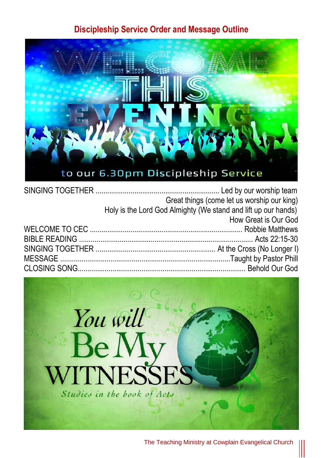## **Discipleship Service Order and Message Outline**



| Great things (come let us worship our king)                    |
|----------------------------------------------------------------|
| Holy is the Lord God Almighty (We stand and lift up our hands) |
| How Great is Our God                                           |
|                                                                |
|                                                                |
|                                                                |
|                                                                |
|                                                                |
|                                                                |



The Teaching Ministry at Cowplain Evangelical Church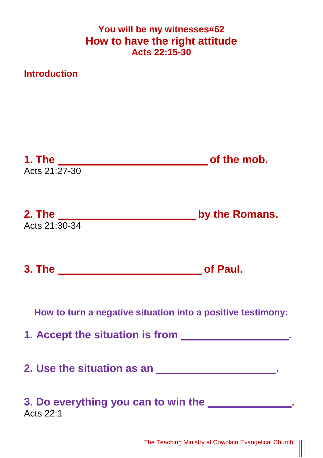## **You will be my witnesses#62 How to have the right attitude Acts 22:15-30**

**Introduction**

| Acts 21:27-30 |                                                                           |
|---------------|---------------------------------------------------------------------------|
| Acts 21:30-34 | 2. The <u>Contractor Communication</u> by the Romans.                     |
|               |                                                                           |
|               | How to turn a negative situation into a positive testimony:               |
|               | 1. Accept the situation is from _________________.                        |
|               | 2. Use the situation as an <b>contract and the set of the situation</b> . |
| Acts 22:1     | 3. Do everything you can to win the <b>Soluting</b>                       |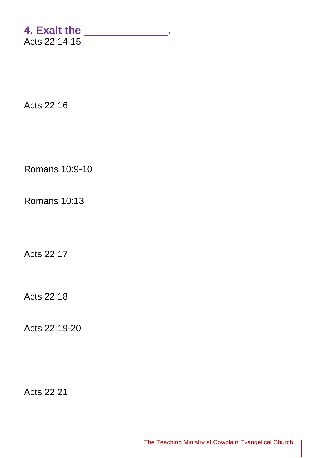## **4. Exalt the \_\_\_\_\_\_\_\_\_\_\_\_\_\_.**  Acts 22:14-15

Acts 22:16

Romans 10:9-10

Romans 10:13

Acts 22:17

Acts 22:18

Acts 22:19-20

Acts 22:21